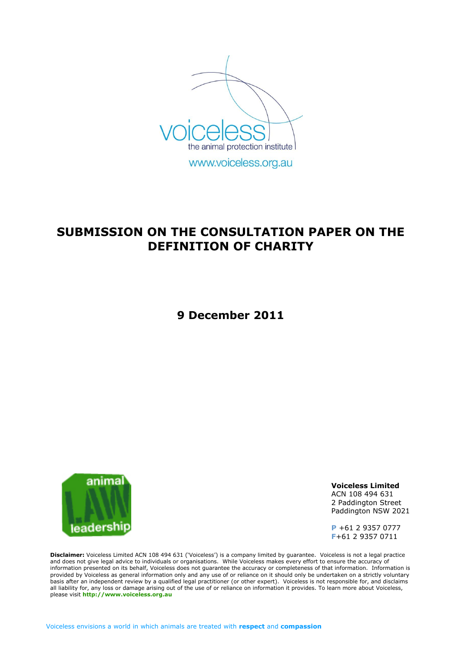

www.voiceless.org.au

# **SUBMISSION ON THE CONSULTATION PAPER ON THE DEFINITION OF CHARITY**

**9 December 2011**



**Voiceless Limited** ACN 108 494 631 2 Paddington Street Paddington NSW 2021

**P** +61 2 9357 0777 **F**+61 2 9357 0711

**Disclaimer:** Voiceless Limited ACN 108 494 631 ('Voiceless') is a company limited by guarantee. Voiceless is not a legal practice and does not give legal advice to individuals or organisations. While Voiceless makes every effort to ensure the accuracy of information presented on its behalf, Voiceless does not guarantee the accuracy or completeness of that information. Information is provided by Voiceless as general information only and any use of or reliance on it should only be undertaken on a strictly voluntary basis after an independent review by a qualified legal practitioner (or other expert). Voiceless is not responsible for, and disclaims all liability for, any loss or damage arising out of the use of or reliance on information it provides. To learn more about Voiceless, please visit **[http://www.voiceless.org.au](http://www.voiceless.org.au/)**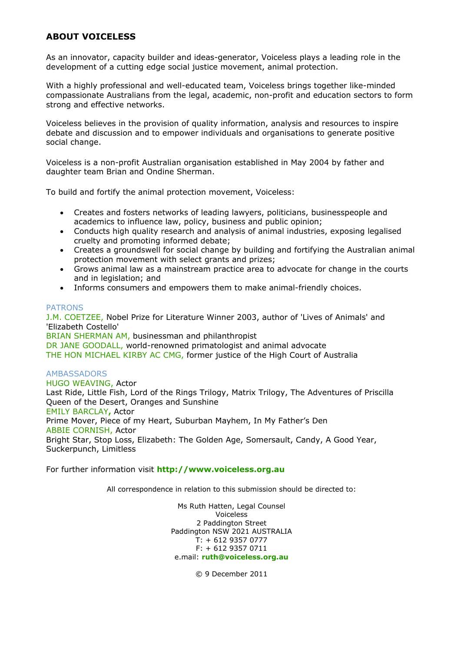#### **ABOUT VOICELESS**

As an innovator, capacity builder and ideas-generator, Voiceless plays a leading role in the development of a cutting edge social justice movement, animal protection.

With a highly professional and well-educated team, Voiceless brings together like-minded compassionate Australians from the legal, academic, non-profit and education sectors to form strong and effective networks.

Voiceless believes in the provision of quality information, analysis and resources to inspire debate and discussion and to empower individuals and organisations to generate positive social change.

Voiceless is a non-profit Australian organisation established in May 2004 by father and daughter team Brian and Ondine Sherman.

To build and fortify the animal protection movement, Voiceless:

- Creates and fosters networks of leading lawyers, politicians, businesspeople and academics to influence law, policy, business and public opinion;
- Conducts high quality research and analysis of animal industries, exposing legalised cruelty and promoting informed debate;
- Creates a groundswell for social change by building and fortifying the Australian animal protection movement with select grants and prizes;
- Grows animal law as a mainstream practice area to advocate for change in the courts and in legislation; and
- Informs consumers and empowers them to make animal-friendly choices.

#### PATRONS

J.M. COETZEE, Nobel Prize for Literature Winner 2003, author of 'Lives of Animals' and 'Elizabeth Costello' BRIAN SHERMAN AM, businessman and philanthropist DR JANE GOODALL, world-renowned primatologist and animal advocate THE HON MICHAEL KIRBY AC CMG, former justice of the High Court of Australia

#### AMBASSADORS

HUGO WEAVING, Actor Last Ride, Little Fish, Lord of the Rings Trilogy, Matrix Trilogy, The Adventures of Priscilla Queen of the Desert, Oranges and Sunshine EMILY BARCLAY**,** Actor Prime Mover, Piece of my Heart, Suburban Mayhem, In My Father's Den ABBIE CORNISH, Actor Bright Star, Stop Loss, Elizabeth: The Golden Age, Somersault, Candy, A Good Year, Suckerpunch, Limitless

For further information visit **[http://www.voiceless.org.au](http://www.voiceless.org.au/)**

All correspondence in relation to this submission should be directed to:

Ms Ruth Hatten, Legal Counsel Voiceless 2 Paddington Street Paddington NSW 2021 AUSTRALIA  $T: +61293570777$ F: + 612 9357 0711 e.mail: **[ruth@voiceless.org.au](mailto:ruth@voiceless.org.au)**

© 9 December 2011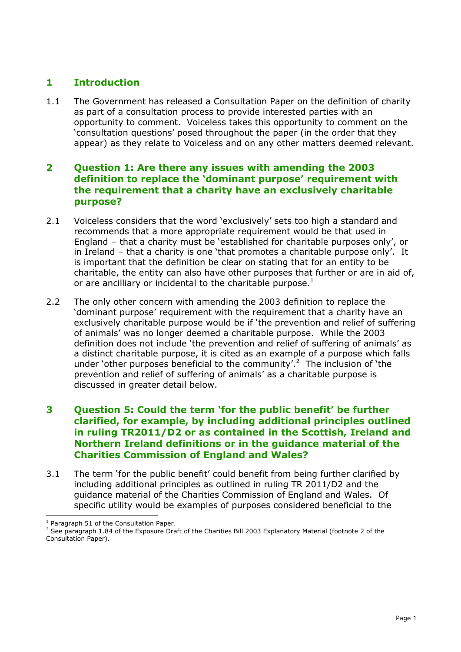# **1 Introduction**

1.1 The Government has released a Consultation Paper on the definition of charity as part of a consultation process to provide interested parties with an opportunity to comment. Voiceless takes this opportunity to comment on the 'consultation questions' posed throughout the paper (in the order that they appear) as they relate to Voiceless and on any other matters deemed relevant.

#### **2 Question 1: Are there any issues with amending the 2003 definition to replace the 'dominant purpose' requirement with the requirement that a charity have an exclusively charitable purpose?**

- 2.1 Voiceless considers that the word 'exclusively' sets too high a standard and recommends that a more appropriate requirement would be that used in England – that a charity must be 'established for charitable purposes only', or in Ireland – that a charity is one 'that promotes a charitable purpose only'. It is important that the definition be clear on stating that for an entity to be charitable, the entity can also have other purposes that further or are in aid of, or are ancilliary or incidental to the charitable purpose. $<sup>1</sup>$ </sup>
- 2.2 The only other concern with amending the 2003 definition to replace the 'dominant purpose' requirement with the requirement that a charity have an exclusively charitable purpose would be if 'the prevention and relief of suffering of animals' was no longer deemed a charitable purpose. While the 2003 definition does not include 'the prevention and relief of suffering of animals' as a distinct charitable purpose, it is cited as an example of a purpose which falls under 'other purposes beneficial to the community'.<sup>2</sup> The inclusion of 'the prevention and relief of suffering of animals' as a charitable purpose is discussed in greater detail below.

### **3 Question 5: Could the term 'for the public benefit' be further clarified, for example, by including additional principles outlined in ruling TR2011/D2 or as contained in the Scottish, Ireland and Northern Ireland definitions or in the guidance material of the Charities Commission of England and Wales?**

3.1 The term 'for the public benefit' could benefit from being further clarified by including additional principles as outlined in ruling TR 2011/D2 and the guidance material of the Charities Commission of England and Wales. Of specific utility would be examples of purposes considered beneficial to the

<sup>1</sup> Paragraph 51 of the Consultation Paper.

<sup>&</sup>lt;sup>2</sup> See paragraph 1.84 of the Exposure Draft of the Charities Bill 2003 Explanatory Material (footnote 2 of the Consultation Paper).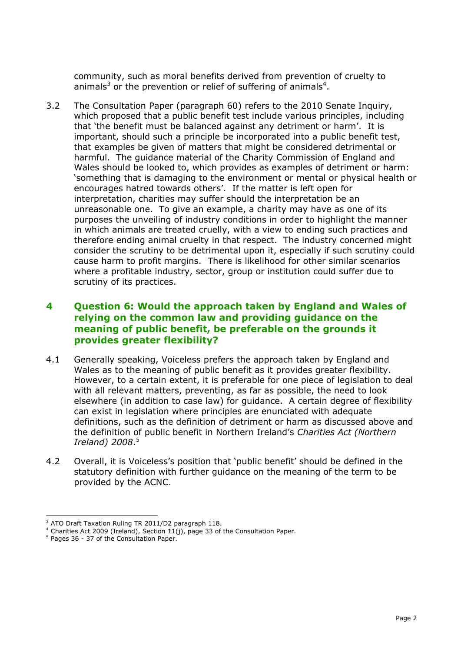community, such as moral benefits derived from prevention of cruelty to animals<sup>3</sup> or the prevention or relief of suffering of animals<sup>4</sup>.

3.2 The Consultation Paper (paragraph 60) refers to the 2010 Senate Inquiry, which proposed that a public benefit test include various principles, including that 'the benefit must be balanced against any detriment or harm'. It is important, should such a principle be incorporated into a public benefit test, that examples be given of matters that might be considered detrimental or harmful. The guidance material of the Charity Commission of England and Wales should be looked to, which provides as examples of detriment or harm: 'something that is damaging to the environment or mental or physical health or encourages hatred towards others'. If the matter is left open for interpretation, charities may suffer should the interpretation be an unreasonable one. To give an example, a charity may have as one of its purposes the unveiling of industry conditions in order to highlight the manner in which animals are treated cruelly, with a view to ending such practices and therefore ending animal cruelty in that respect. The industry concerned might consider the scrutiny to be detrimental upon it, especially if such scrutiny could cause harm to profit margins. There is likelihood for other similar scenarios where a profitable industry, sector, group or institution could suffer due to scrutiny of its practices.

#### **4 Question 6: Would the approach taken by England and Wales of relying on the common law and providing guidance on the meaning of public benefit, be preferable on the grounds it provides greater flexibility?**

- 4.1 Generally speaking, Voiceless prefers the approach taken by England and Wales as to the meaning of public benefit as it provides greater flexibility. However, to a certain extent, it is preferable for one piece of legislation to deal with all relevant matters, preventing, as far as possible, the need to look elsewhere (in addition to case law) for guidance. A certain degree of flexibility can exist in legislation where principles are enunciated with adequate definitions, such as the definition of detriment or harm as discussed above and the definition of public benefit in Northern Ireland's *Charities Act (Northern Ireland) 2008*. 5
- 4.2 Overall, it is Voiceless's position that 'public benefit' should be defined in the statutory definition with further guidance on the meaning of the term to be provided by the ACNC.

<sup>3</sup> ATO Draft Taxation Ruling TR 2011/D2 paragraph 118.

 $4$  Charities Act 2009 (Ireland), Section 11(j), page 33 of the Consultation Paper.

<sup>5</sup> Pages 36 - 37 of the Consultation Paper.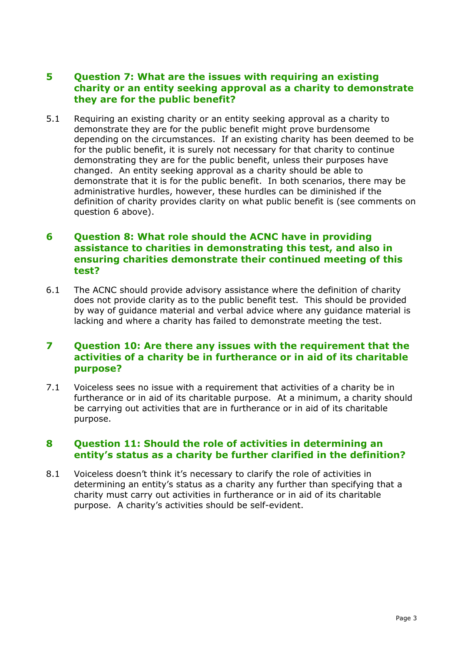#### **5 Question 7: What are the issues with requiring an existing charity or an entity seeking approval as a charity to demonstrate they are for the public benefit?**

5.1 Requiring an existing charity or an entity seeking approval as a charity to demonstrate they are for the public benefit might prove burdensome depending on the circumstances. If an existing charity has been deemed to be for the public benefit, it is surely not necessary for that charity to continue demonstrating they are for the public benefit, unless their purposes have changed. An entity seeking approval as a charity should be able to demonstrate that it is for the public benefit. In both scenarios, there may be administrative hurdles, however, these hurdles can be diminished if the definition of charity provides clarity on what public benefit is (see comments on question 6 above).

#### **6 Question 8: What role should the ACNC have in providing assistance to charities in demonstrating this test, and also in ensuring charities demonstrate their continued meeting of this test?**

6.1 The ACNC should provide advisory assistance where the definition of charity does not provide clarity as to the public benefit test. This should be provided by way of guidance material and verbal advice where any guidance material is lacking and where a charity has failed to demonstrate meeting the test.

### **7 Question 10: Are there any issues with the requirement that the activities of a charity be in furtherance or in aid of its charitable purpose?**

7.1 Voiceless sees no issue with a requirement that activities of a charity be in furtherance or in aid of its charitable purpose. At a minimum, a charity should be carrying out activities that are in furtherance or in aid of its charitable purpose.

### **8 Question 11: Should the role of activities in determining an entity's status as a charity be further clarified in the definition?**

8.1 Voiceless doesn't think it's necessary to clarify the role of activities in determining an entity's status as a charity any further than specifying that a charity must carry out activities in furtherance or in aid of its charitable purpose. A charity's activities should be self-evident.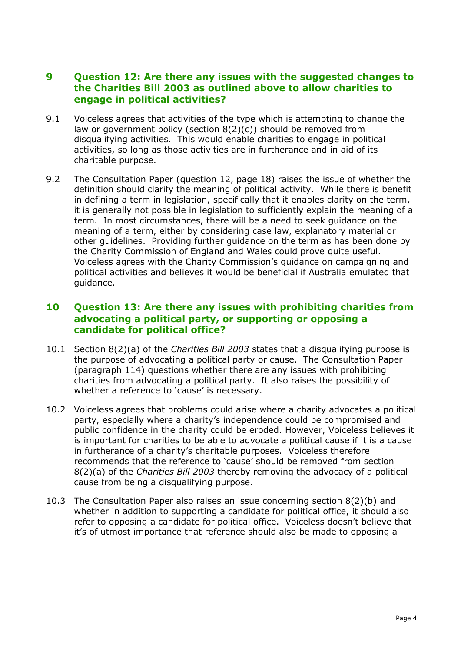#### **9 Question 12: Are there any issues with the suggested changes to the Charities Bill 2003 as outlined above to allow charities to engage in political activities?**

- 9.1 Voiceless agrees that activities of the type which is attempting to change the law or government policy (section 8(2)(c)) should be removed from disqualifying activities. This would enable charities to engage in political activities, so long as those activities are in furtherance and in aid of its charitable purpose.
- 9.2 The Consultation Paper (question 12, page 18) raises the issue of whether the definition should clarify the meaning of political activity. While there is benefit in defining a term in legislation, specifically that it enables clarity on the term, it is generally not possible in legislation to sufficiently explain the meaning of a term. In most circumstances, there will be a need to seek guidance on the meaning of a term, either by considering case law, explanatory material or other guidelines. Providing further guidance on the term as has been done by the Charity Commission of England and Wales could prove quite useful. Voiceless agrees with the Charity Commission's guidance on campaigning and political activities and believes it would be beneficial if Australia emulated that guidance.

### **10 Question 13: Are there any issues with prohibiting charities from advocating a political party, or supporting or opposing a candidate for political office?**

- 10.1 Section 8(2)(a) of the *Charities Bill 2003* states that a disqualifying purpose is the purpose of advocating a political party or cause. The Consultation Paper (paragraph 114) questions whether there are any issues with prohibiting charities from advocating a political party. It also raises the possibility of whether a reference to 'cause' is necessary.
- 10.2 Voiceless agrees that problems could arise where a charity advocates a political party, especially where a charity's independence could be compromised and public confidence in the charity could be eroded. However, Voiceless believes it is important for charities to be able to advocate a political cause if it is a cause in furtherance of a charity's charitable purposes. Voiceless therefore recommends that the reference to 'cause' should be removed from section 8(2)(a) of the *Charities Bill 2003* thereby removing the advocacy of a political cause from being a disqualifying purpose.
- 10.3 The Consultation Paper also raises an issue concerning section 8(2)(b) and whether in addition to supporting a candidate for political office, it should also refer to opposing a candidate for political office. Voiceless doesn't believe that it's of utmost importance that reference should also be made to opposing a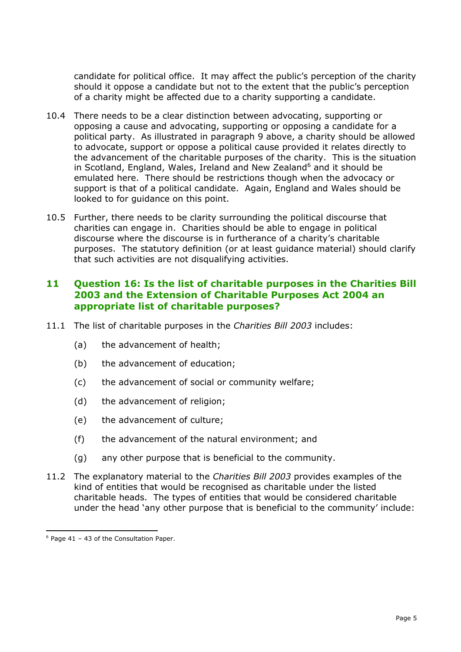candidate for political office. It may affect the public's perception of the charity should it oppose a candidate but not to the extent that the public's perception of a charity might be affected due to a charity supporting a candidate.

- 10.4 There needs to be a clear distinction between advocating, supporting or opposing a cause and advocating, supporting or opposing a candidate for a political party. As illustrated in paragraph 9 above, a charity should be allowed to advocate, support or oppose a political cause provided it relates directly to the advancement of the charitable purposes of the charity. This is the situation in Scotland, England, Wales, Ireland and New Zealand<sup>6</sup> and it should be emulated here. There should be restrictions though when the advocacy or support is that of a political candidate. Again, England and Wales should be looked to for guidance on this point.
- 10.5 Further, there needs to be clarity surrounding the political discourse that charities can engage in. Charities should be able to engage in political discourse where the discourse is in furtherance of a charity's charitable purposes. The statutory definition (or at least guidance material) should clarify that such activities are not disqualifying activities.

### **11 Question 16: Is the list of charitable purposes in the Charities Bill 2003 and the Extension of Charitable Purposes Act 2004 an appropriate list of charitable purposes?**

- 11.1 The list of charitable purposes in the *Charities Bill 2003* includes:
	- (a) the advancement of health;
	- (b) the advancement of education;
	- (c) the advancement of social or community welfare;
	- (d) the advancement of religion;
	- (e) the advancement of culture;
	- (f) the advancement of the natural environment; and
	- (g) any other purpose that is beneficial to the community.
- 11.2 The explanatory material to the *Charities Bill 2003* provides examples of the kind of entities that would be recognised as charitable under the listed charitable heads. The types of entities that would be considered charitable under the head 'any other purpose that is beneficial to the community' include:

 $6$  Page 41 – 43 of the Consultation Paper.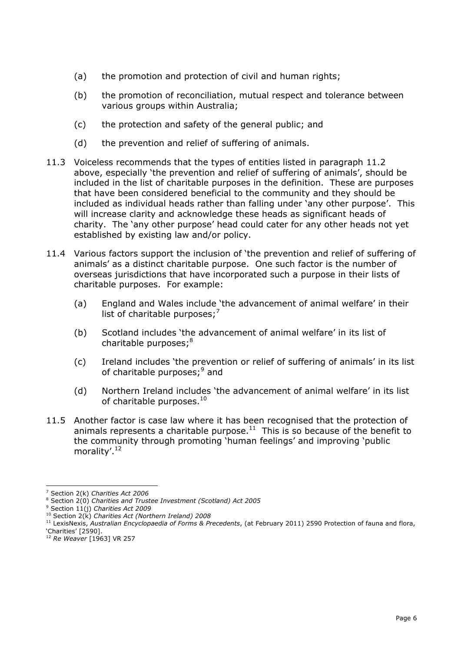- (a) the promotion and protection of civil and human rights;
- (b) the promotion of reconciliation, mutual respect and tolerance between various groups within Australia;
- (c) the protection and safety of the general public; and
- (d) the prevention and relief of suffering of animals.
- 11.3 Voiceless recommends that the types of entities listed in paragraph 11.2 above, especially 'the prevention and relief of suffering of animals', should be included in the list of charitable purposes in the definition. These are purposes that have been considered beneficial to the community and they should be included as individual heads rather than falling under 'any other purpose'. This will increase clarity and acknowledge these heads as significant heads of charity. The 'any other purpose' head could cater for any other heads not yet established by existing law and/or policy.
- 11.4 Various factors support the inclusion of 'the prevention and relief of suffering of animals' as a distinct charitable purpose. One such factor is the number of overseas jurisdictions that have incorporated such a purpose in their lists of charitable purposes. For example:
	- (a) England and Wales include 'the advancement of animal welfare' in their list of charitable purposes; $<sup>7</sup>$ </sup>
	- (b) Scotland includes 'the advancement of animal welfare' in its list of charitable purposes;<sup>8</sup>
	- (c) Ireland includes 'the prevention or relief of suffering of animals' in its list of charitable purposes;<sup>9</sup> and
	- (d) Northern Ireland includes 'the advancement of animal welfare' in its list of charitable purposes.<sup>10</sup>
- 11.5 Another factor is case law where it has been recognised that the protection of animals represents a charitable purpose. $11$  This is so because of the benefit to the community through promoting 'human feelings' and improving 'public morality'.<sup>12</sup>

ł <sup>7</sup> Section 2(k) *Charities Act 2006*

<sup>8</sup> Section 2(0) *Charities and Trustee Investment (Scotland) Act 2005*

<sup>9</sup> Section 11(j) *Charities Act 2009*

<sup>10</sup> Section 2(k) *Charities Act (Northern Ireland) 2008*

<sup>11</sup> LexisNexis, *Australian Encyclopaedia of Forms & Precedents*, (at February 2011) 2590 Protection of fauna and flora, 'Charities' [2590].

<sup>12</sup> *Re Weaver* [1963] VR 257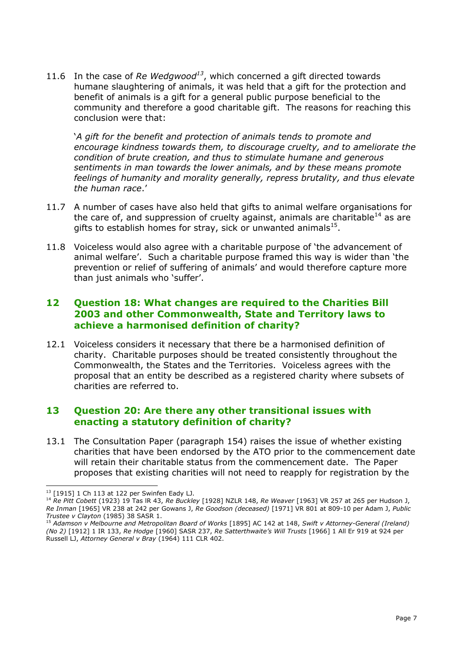11.6 In the case of *Re Wedgwood<sup>13</sup>* , which concerned a gift directed towards humane slaughtering of animals, it was held that a gift for the protection and benefit of animals is a gift for a general public purpose beneficial to the community and therefore a good charitable gift. The reasons for reaching this conclusion were that:

'*A gift for the benefit and protection of animals tends to promote and encourage kindness towards them, to discourage cruelty, and to ameliorate the condition of brute creation, and thus to stimulate humane and generous sentiments in man towards the lower animals, and by these means promote feelings of humanity and morality generally, repress brutality, and thus elevate the human race*.'

- 11.7 A number of cases have also held that gifts to animal welfare organisations for the care of, and suppression of cruelty against, animals are charitable<sup>14</sup> as are gifts to establish homes for stray, sick or unwanted animals $^{15}$ .
- 11.8 Voiceless would also agree with a charitable purpose of 'the advancement of animal welfare'. Such a charitable purpose framed this way is wider than 'the prevention or relief of suffering of animals' and would therefore capture more than just animals who 'suffer'.

### **12 Question 18: What changes are required to the Charities Bill 2003 and other Commonwealth, State and Territory laws to achieve a harmonised definition of charity?**

12.1 Voiceless considers it necessary that there be a harmonised definition of charity. Charitable purposes should be treated consistently throughout the Commonwealth, the States and the Territories. Voiceless agrees with the proposal that an entity be described as a registered charity where subsets of charities are referred to.

### **13 Question 20: Are there any other transitional issues with enacting a statutory definition of charity?**

13.1 The Consultation Paper (paragraph 154) raises the issue of whether existing charities that have been endorsed by the ATO prior to the commencement date will retain their charitable status from the commencement date. The Paper proposes that existing charities will not need to reapply for registration by the

ł  $13$  [1915] 1 Ch 113 at 122 per Swinfen Eady LJ.

<sup>14</sup> *Re Pitt Cobett* (1923) 19 Tas lR 43, *Re Buckley* [1928] NZLR 148, *Re Weaver* [1963] VR 257 at 265 per Hudson J, *Re Inman* [1965] VR 238 at 242 per Gowans J, *Re Goodson (deceased)* [1971] VR 801 at 809-10 per Adam J, *Public Trustee v Clayton* (1985) 38 SASR 1.

<sup>15</sup> *Adamson v Melbourne and Metropolitan Board of Works* [1895] AC 142 at 148, *Swift v Attorney-General (Ireland) (No 2)* [1912] 1 IR 133, *Re Hodge* [1960] SASR 237, *Re Satterthwaite's Will Trusts* [1966] 1 All Er 919 at 924 per Russell LJ, *Attorney General v Bray* (1964) 111 CLR 402.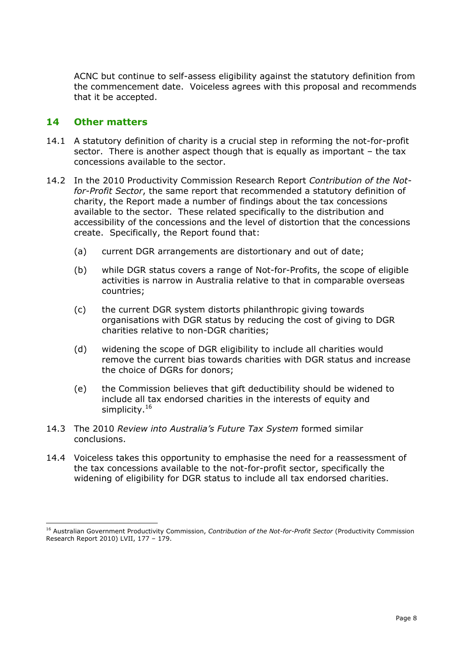ACNC but continue to self-assess eligibility against the statutory definition from the commencement date. Voiceless agrees with this proposal and recommends that it be accepted.

#### **14 Other matters**

- 14.1 A statutory definition of charity is a crucial step in reforming the not-for-profit sector. There is another aspect though that is equally as important – the tax concessions available to the sector.
- 14.2 In the 2010 Productivity Commission Research Report *Contribution of the Notfor-Profit Sector*, the same report that recommended a statutory definition of charity, the Report made a number of findings about the tax concessions available to the sector. These related specifically to the distribution and accessibility of the concessions and the level of distortion that the concessions create. Specifically, the Report found that:
	- (a) current DGR arrangements are distortionary and out of date;
	- (b) while DGR status covers a range of Not-for-Profits, the scope of eligible activities is narrow in Australia relative to that in comparable overseas countries;
	- (c) the current DGR system distorts philanthropic giving towards organisations with DGR status by reducing the cost of giving to DGR charities relative to non-DGR charities;
	- (d) widening the scope of DGR eligibility to include all charities would remove the current bias towards charities with DGR status and increase the choice of DGRs for donors;
	- (e) the Commission believes that gift deductibility should be widened to include all tax endorsed charities in the interests of equity and simplicity.<sup>16</sup>
- 14.3 The 2010 *Review into Australia's Future Tax System* formed similar conclusions.
- 14.4 Voiceless takes this opportunity to emphasise the need for a reassessment of the tax concessions available to the not-for-profit sector, specifically the widening of eligibility for DGR status to include all tax endorsed charities.

<sup>16</sup> Australian Government Productivity Commission, *Contribution of the Not-for-Profit Sector* (Productivity Commission Research Report 2010) LVII,  $177 - 179$ .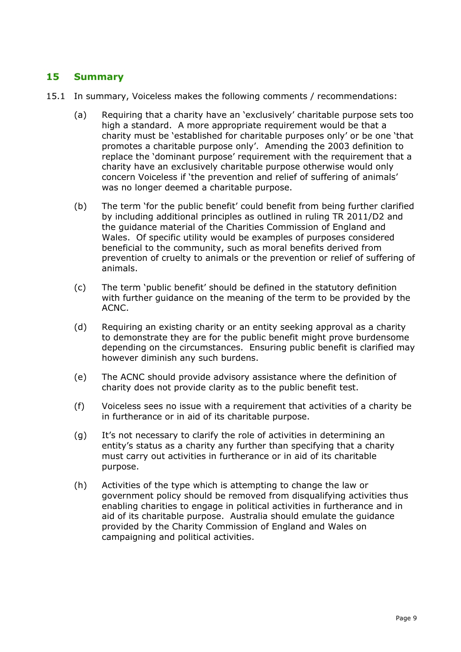# **15 Summary**

- 15.1 In summary, Voiceless makes the following comments / recommendations:
	- (a) Requiring that a charity have an 'exclusively' charitable purpose sets too high a standard. A more appropriate requirement would be that a charity must be 'established for charitable purposes only' or be one 'that promotes a charitable purpose only'. Amending the 2003 definition to replace the 'dominant purpose' requirement with the requirement that a charity have an exclusively charitable purpose otherwise would only concern Voiceless if 'the prevention and relief of suffering of animals' was no longer deemed a charitable purpose.
	- (b) The term 'for the public benefit' could benefit from being further clarified by including additional principles as outlined in ruling TR 2011/D2 and the guidance material of the Charities Commission of England and Wales. Of specific utility would be examples of purposes considered beneficial to the community, such as moral benefits derived from prevention of cruelty to animals or the prevention or relief of suffering of animals.
	- (c) The term 'public benefit' should be defined in the statutory definition with further guidance on the meaning of the term to be provided by the ACNC.
	- (d) Requiring an existing charity or an entity seeking approval as a charity to demonstrate they are for the public benefit might prove burdensome depending on the circumstances. Ensuring public benefit is clarified may however diminish any such burdens.
	- (e) The ACNC should provide advisory assistance where the definition of charity does not provide clarity as to the public benefit test.
	- (f) Voiceless sees no issue with a requirement that activities of a charity be in furtherance or in aid of its charitable purpose.
	- (g) It's not necessary to clarify the role of activities in determining an entity's status as a charity any further than specifying that a charity must carry out activities in furtherance or in aid of its charitable purpose.
	- (h) Activities of the type which is attempting to change the law or government policy should be removed from disqualifying activities thus enabling charities to engage in political activities in furtherance and in aid of its charitable purpose. Australia should emulate the guidance provided by the Charity Commission of England and Wales on campaigning and political activities.